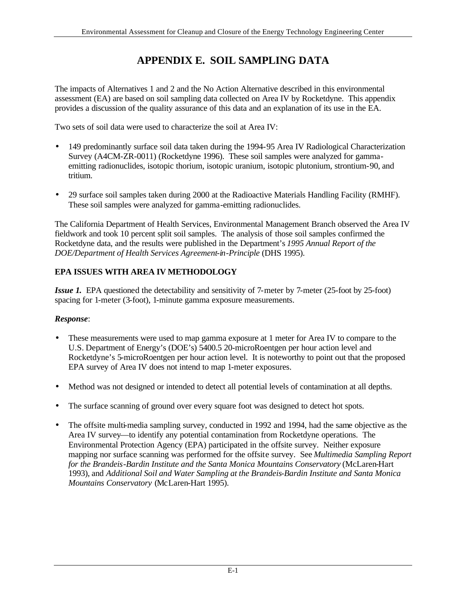# **APPENDIX E. SOIL SAMPLING DATA**

The impacts of Alternatives 1 and 2 and the No Action Alternative described in this environmental assessment (EA) are based on soil sampling data collected on Area IV by Rocketdyne. This appendix provides a discussion of the quality assurance of this data and an explanation of its use in the EA.

Two sets of soil data were used to characterize the soil at Area IV:

- 149 predominantly surface soil data taken during the 1994-95 Area IV Radiological Characterization Survey (A4CM-ZR-0011) (Rocketdyne 1996). These soil samples were analyzed for gammaemitting radionuclides, isotopic thorium, isotopic uranium, isotopic plutonium, strontium-90, and tritium.
- 29 surface soil samples taken during 2000 at the Radioactive Materials Handling Facility (RMHF). These soil samples were analyzed for gamma-emitting radionuclides.

The California Department of Health Services, Environmental Management Branch observed the Area IV fieldwork and took 10 percent split soil samples. The analysis of those soil samples confirmed the Rocketdyne data, and the results were published in the Department's *1995 Annual Report of the DOE/Department of Health Services Agreement-in-Principle* (DHS 1995).

# **EPA ISSUES WITH AREA IV METHODOLOGY**

*Issue 1***.** EPA questioned the detectability and sensitivity of 7-meter by 7-meter (25-foot by 25-foot) spacing for 1-meter (3-foot), 1-minute gamma exposure measurements.

## *Response*:

- These measurements were used to map gamma exposure at 1 meter for Area IV to compare to the U.S. Department of Energy's (DOE's) 5400.5 20-microRoentgen per hour action level and Rocketdyne's 5-microRoentgen per hour action level. It is noteworthy to point out that the proposed EPA survey of Area IV does not intend to map 1-meter exposures.
- Method was not designed or intended to detect all potential levels of contamination at all depths.
- The surface scanning of ground over every square foot was designed to detect hot spots.
- The offsite multi-media sampling survey, conducted in 1992 and 1994, had the same objective as the Area IV survey—to identify any potential contamination from Rocketdyne operations. The Environmental Protection Agency (EPA) participated in the offsite survey. Neither exposure mapping nor surface scanning was performed for the offsite survey. See *Multimedia Sampling Report for the Brandeis-Bardin Institute and the Santa Monica Mountains Conservatory* (McLaren-Hart 1993), and *Additional Soil and Water Sampling at the Brandeis-Bardin Institute and Santa Monica Mountains Conservatory* (McLaren-Hart 1995).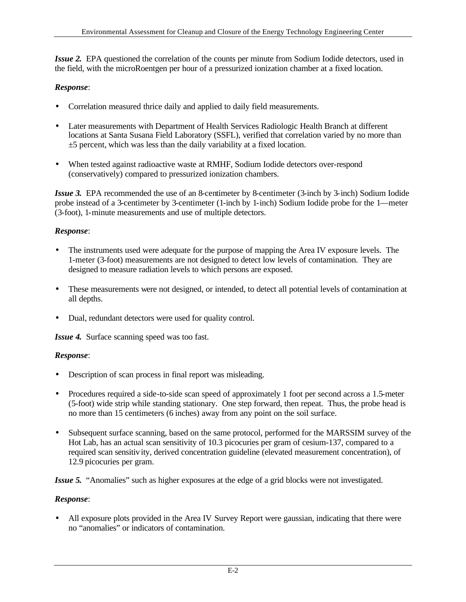*Issue 2***.** EPA questioned the correlation of the counts per minute from Sodium Iodide detectors, used in the field, with the microRoentgen per hour of a pressurized ionization chamber at a fixed location.

## *Response*:

- Correlation measured thrice daily and applied to daily field measurements.
- Later measurements with Department of Health Services Radiologic Health Branch at different locations at Santa Susana Field Laboratory (SSFL), verified that correlation varied by no more than ±5 percent, which was less than the daily variability at a fixed location.
- When tested against radioactive waste at RMHF, Sodium Iodide detectors over-respond (conservatively) compared to pressurized ionization chambers.

*Issue 3*. EPA recommended the use of an 8-centimeter by 8-centimeter (3-inch by 3-inch) Sodium Iodide probe instead of a 3-centimeter by 3-centimeter (1-inch by 1-inch) Sodium Iodide probe for the 1—meter (3-foot), 1-minute measurements and use of multiple detectors.

#### *Response*:

- The instruments used were adequate for the purpose of mapping the Area IV exposure levels. The 1-meter (3-foot) measurements are not designed to detect low levels of contamination. They are designed to measure radiation levels to which persons are exposed.
- These measurements were not designed, or intended, to detect all potential levels of contamination at all depths.
- Dual, redundant detectors were used for quality control.

*Issue 4***.** Surface scanning speed was too fast.

#### *Response*:

- Description of scan process in final report was misleading.
- Procedures required a side-to-side scan speed of approximately 1 foot per second across a 1.5-meter (5-foot) wide strip while standing stationary. One step forward, then repeat. Thus, the probe head is no more than 15 centimeters (6 inches) away from any point on the soil surface.
- Subsequent surface scanning, based on the same protocol, performed for the MARSSIM survey of the Hot Lab, has an actual scan sensitivity of 10.3 picocuries per gram of cesium-137, compared to a required scan sensitivity, derived concentration guideline (elevated measurement concentration), of 12.9 picocuries per gram.

*Issue 5***.** "Anomalies" such as higher exposures at the edge of a grid blocks were not investigated.

#### *Response*:

• All exposure plots provided in the Area IV Survey Report were gaussian, indicating that there were no "anomalies" or indicators of contamination.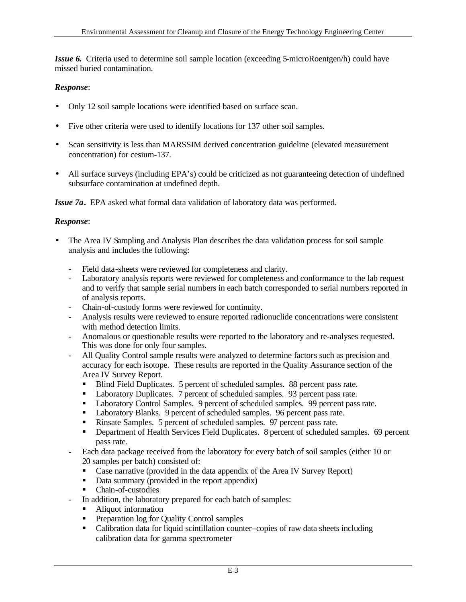*Issue 6***.** Criteria used to determine soil sample location (exceeding 5-microRoentgen/h) could have missed buried contamination.

#### *Response*:

- Only 12 soil sample locations were identified based on surface scan.
- Five other criteria were used to identify locations for 137 other soil samples.
- Scan sensitivity is less than MARSSIM derived concentration guideline (elevated measurement concentration) for cesium-137.
- All surface surveys (including EPA's) could be criticized as not guaranteeing detection of undefined subsurface contamination at undefined depth.

*Issue 7a***.** EPA asked what formal data validation of laboratory data was performed.

#### *Response*:

- The Area IV Sampling and Analysis Plan describes the data validation process for soil sample analysis and includes the following:
	- Field data-sheets were reviewed for completeness and clarity.
	- Laboratory analysis reports were reviewed for completeness and conformance to the lab request and to verify that sample serial numbers in each batch corresponded to serial numbers reported in of analysis reports.
	- Chain-of-custody forms were reviewed for continuity.
	- Analysis results were reviewed to ensure reported radionuclide concentrations were consistent with method detection limits.
	- Anomalous or questionable results were reported to the laboratory and re-analyses requested. This was done for only four samples.
	- All Quality Control sample results were analyzed to determine factors such as precision and accuracy for each isotope. These results are reported in the Quality Assurance section of the Area IV Survey Report.
		- Blind Field Duplicates. 5 percent of scheduled samples. 88 percent pass rate.
		- Laboratory Duplicates. 7 percent of scheduled samples. 93 percent pass rate.
		- Laboratory Control Samples. 9 percent of scheduled samples. 99 percent pass rate.
		- **Laboratory Blanks.** 9 percent of scheduled samples. 96 percent pass rate.
		- Rinsate Samples. 5 percent of scheduled samples. 97 percent pass rate.
		- **•** Department of Health Services Field Duplicates. 8 percent of scheduled samples. 69 percent pass rate.
	- Each data package received from the laboratory for every batch of soil samples (either 10 or 20 samples per batch) consisted of:
		- Case narrative (provided in the data appendix of the Area IV Survey Report)
		- Data summary (provided in the report appendix)
		- Chain-of-custodies
		- In addition, the laboratory prepared for each batch of samples:
		- Aliquot information
		- **•** Preparation log for Quality Control samples
		- Calibration data for liquid scintillation counter–copies of raw data sheets including calibration data for gamma spectrometer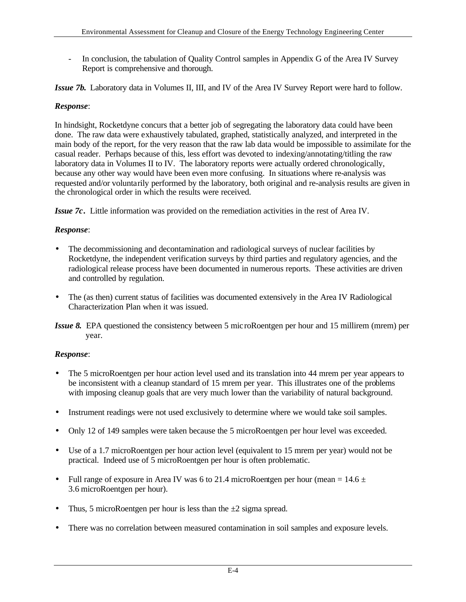In conclusion, the tabulation of Quality Control samples in Appendix G of the Area IV Survey Report is comprehensive and thorough.

*Issue 7b***.** Laboratory data in Volumes II, III, and IV of the Area IV Survey Report were hard to follow.

#### *Response*:

In hindsight, Rocketdyne concurs that a better job of segregating the laboratory data could have been done. The raw data were exhaustively tabulated, graphed, statistically analyzed, and interpreted in the main body of the report, for the very reason that the raw lab data would be impossible to assimilate for the casual reader. Perhaps because of this, less effort was devoted to indexing/annotating/titling the raw laboratory data in Volumes II to IV. The laboratory reports were actually ordered chronologically, because any other way would have been even more confusing. In situations where re-analysis was requested and/or voluntarily performed by the laboratory, both original and re-analysis results are given in the chronological order in which the results were received.

*Issue 7c***.** Little information was provided on the remediation activities in the rest of Area IV.

## *Response*:

- The decommissioning and decontamination and radiological surveys of nuclear facilities by Rocketdyne, the independent verification surveys by third parties and regulatory agencies, and the radiological release process have been documented in numerous reports. These activities are driven and controlled by regulation.
- The (as then) current status of facilities was documented extensively in the Area IV Radiological Characterization Plan when it was issued.
- *Issue 8***.** EPA questioned the consistency between 5 mic roRoentgen per hour and 15 millirem (mrem) per year.

## *Response*:

- The 5 microRoentgen per hour action level used and its translation into 44 mrem per year appears to be inconsistent with a cleanup standard of 15 mrem per year. This illustrates one of the problems with imposing cleanup goals that are very much lower than the variability of natural background.
- Instrument readings were not used exclusively to determine where we would take soil samples.
- Only 12 of 149 samples were taken because the 5 microRoentgen per hour level was exceeded.
- Use of a 1.7 microRoentgen per hour action level (equivalent to 15 mrem per year) would not be practical. Indeed use of 5 microRoentgen per hour is often problematic.
- Full range of exposure in Area IV was 6 to 21.4 microRoentgen per hour (mean =  $14.6 \pm$ 3.6 microRoentgen per hour).
- Thus, 5 microRoentgen per hour is less than the  $\pm 2$  sigma spread.
- There was no correlation between measured contamination in soil samples and exposure levels.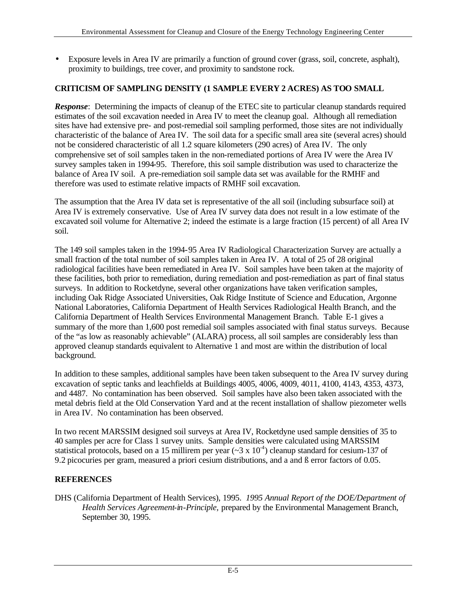• Exposure levels in Area IV are primarily a function of ground cover (grass, soil, concrete, asphalt), proximity to buildings, tree cover, and proximity to sandstone rock.

# **CRITICISM OF SAMPLING DENSITY (1 SAMPLE EVERY 2 ACRES) AS TOO SMALL**

*Response*: Determining the impacts of cleanup of the ETEC site to particular cleanup standards required estimates of the soil excavation needed in Area IV to meet the cleanup goal. Although all remediation sites have had extensive pre- and post-remedial soil sampling performed, those sites are not individually characteristic of the balance of Area IV. The soil data for a specific small area site (several acres) should not be considered characteristic of all 1.2 square kilometers (290 acres) of Area IV. The only comprehensive set of soil samples taken in the non-remediated portions of Area IV were the Area IV survey samples taken in 1994-95. Therefore, this soil sample distribution was used to characterize the balance of Area IV soil. A pre-remediation soil sample data set was available for the RMHF and therefore was used to estimate relative impacts of RMHF soil excavation.

The assumption that the Area IV data set is representative of the all soil (including subsurface soil) at Area IV is extremely conservative. Use of Area IV survey data does not result in a low estimate of the excavated soil volume for Alternative 2; indeed the estimate is a large fraction (15 percent) of all Area IV soil.

The 149 soil samples taken in the 1994-95 Area IV Radiological Characterization Survey are actually a small fraction of the total number of soil samples taken in Area IV. A total of 25 of 28 original radiological facilities have been remediated in Area IV. Soil samples have been taken at the majority of these facilities, both prior to remediation, during remediation and post-remediation as part of final status surveys. In addition to Rocketdyne, several other organizations have taken verification samples, including Oak Ridge Associated Universities, Oak Ridge Institute of Science and Education, Argonne National Laboratories, California Department of Health Services Radiological Health Branch, and the California Department of Health Services Environmental Management Branch. Table E-1 gives a summary of the more than 1,600 post remedial soil samples associated with final status surveys. Because of the "as low as reasonably achievable" (ALARA) process, all soil samples are considerably less than approved cleanup standards equivalent to Alternative 1 and most are within the distribution of local background.

In addition to these samples, additional samples have been taken subsequent to the Area IV survey during excavation of septic tanks and leachfields at Buildings 4005, 4006, 4009, 4011, 4100, 4143, 4353, 4373, and 4487. No contamination has been observed. Soil samples have also been taken associated with the metal debris field at the Old Conservation Yard and at the recent installation of shallow piezometer wells in Area IV. No contamination has been observed.

In two recent MARSSIM designed soil surveys at Area IV, Rocketdyne used sample densities of 35 to 40 samples per acre for Class 1 survey units. Sample densities were calculated using MARSSIM statistical protocols, based on a 15 millirem per year  $(\sim 3 \times 10^{-4})$  cleanup standard for cesium-137 of 9.2 picocuries per gram, measured a priori cesium distributions, and a and ß error factors of 0.05.

## **REFERENCES**

DHS (California Department of Health Services), 1995. *1995 Annual Report of the DOE/Department of Health Services Agreement-in-Principle,* prepared by the Environmental Management Branch, September 30, 1995.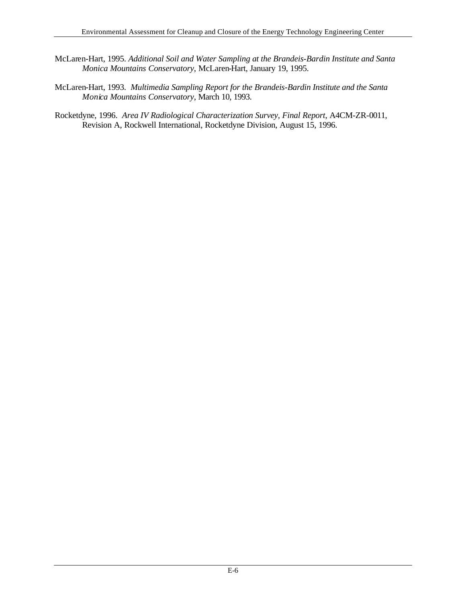- McLaren-Hart, 1995. *Additional Soil and Water Sampling at the Brandeis-Bardin Institute and Santa Monica Mountains Conservatory*, McLaren-Hart, January 19, 1995.
- McLaren-Hart, 1993. *Multimedia Sampling Report for the Brandeis-Bardin Institute and the Santa Monica Mountains Conservatory*, March 10, 1993.
- Rocketdyne, 1996. *Area IV Radiological Characterization Survey, Final Report*, A4CM-ZR-0011, Revision A, Rockwell International, Rocketdyne Division, August 15, 1996.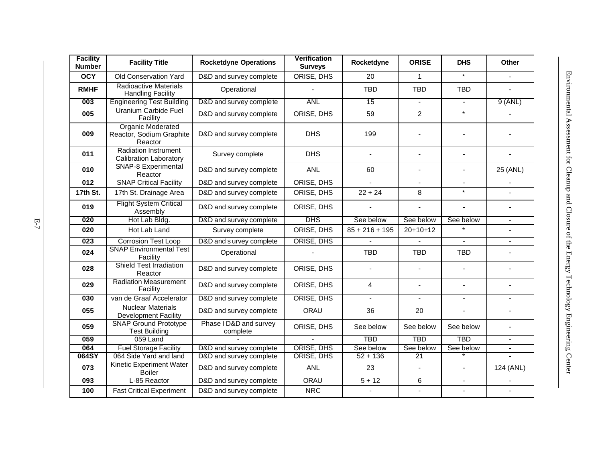| <b>Facility</b><br><b>Number</b> | <b>Facility Title</b>                                           | <b>Rocketdyne Operations</b>       | <b>Verification</b><br><b>Surveys</b> | Rocketdyne       | <b>ORISE</b>             | <b>DHS</b>     | Other                    |
|----------------------------------|-----------------------------------------------------------------|------------------------------------|---------------------------------------|------------------|--------------------------|----------------|--------------------------|
| <b>OCY</b>                       | Old Conservation Yard                                           | D&D and survey complete            | ORISE, DHS                            | 20               | $\mathbf{1}$             | $\star$        |                          |
| <b>RMHF</b>                      | <b>Radioactive Materials</b><br><b>Handling Facility</b>        | Operational                        |                                       | <b>TBD</b>       | <b>TBD</b>               | <b>TBD</b>     |                          |
| 003                              | <b>Engineering Test Building</b>                                | D&D and survey complete            | <b>ANL</b>                            | 15               | $\blacksquare$           | $\blacksquare$ | $9$ (ANL)                |
| 005                              | <b>Uranium Carbide Fuel</b><br>Facility                         | D&D and survey complete            | ORISE, DHS                            | 59               | $\overline{2}$           | $\star$        |                          |
| 009                              | <b>Organic Moderated</b><br>Reactor, Sodium Graphite<br>Reactor | D&D and survey complete            | <b>DHS</b>                            | 199              |                          |                |                          |
| 011                              | <b>Radiation Instrument</b><br><b>Calibration Laboratory</b>    | Survey complete                    | <b>DHS</b>                            |                  | $\overline{\phantom{a}}$ | $\blacksquare$ |                          |
| 010                              | <b>SNAP-8 Experimental</b><br>Reactor                           | D&D and survey complete            | <b>ANL</b>                            | 60               | $\blacksquare$           | $\blacksquare$ | 25 (ANL)                 |
| 012                              | <b>SNAP Critical Facility</b>                                   | D&D and survey complete            | ORISE, DHS                            |                  | $\blacksquare$           | $\blacksquare$ | $\blacksquare$           |
| 17th St.                         | 17th St. Drainage Area                                          | D&D and survey complete            | ORISE, DHS                            | $22 + 24$        | 8                        | $\star$        | $\blacksquare$           |
| 019                              | <b>Flight System Critical</b><br>Assembly                       | D&D and survey complete            | ORISE, DHS                            |                  | $\overline{a}$           | L.             | $\sim$                   |
| 020                              | Hot Lab Bldg.                                                   | D&D and survey complete            | <b>DHS</b>                            | See below        | See below                | See below      | $\blacksquare$           |
| 020                              | Hot Lab Land                                                    | Survey complete                    | ORISE, DHS                            | $85 + 216 + 195$ | $20+10+12$               |                | $\blacksquare$           |
| 023                              | <b>Corrosion Test Loop</b>                                      | D&D and s urvey complete           | ORISE, DHS                            |                  | $\mathbf{r}$             | $\blacksquare$ | $\blacksquare$           |
| 024                              | <b>SNAP Environmental Test</b><br>Facility                      | Operational                        |                                       | <b>TBD</b>       | <b>TBD</b>               | <b>TBD</b>     | $\blacksquare$           |
| 028                              | <b>Shield Test Irradiation</b><br>Reactor                       | D&D and survey complete            | ORISE, DHS                            | $\sim$           | $\sim$                   | $\blacksquare$ |                          |
| 029                              | <b>Radiation Measurement</b><br>Facility                        | D&D and survey complete            | ORISE, DHS                            | 4                | $\overline{a}$           | $\overline{a}$ |                          |
| 030                              | van de Graaf Accelerator                                        | D&D and survey complete            | ORISE, DHS                            | $\blacksquare$   | $\mathbf{r}$             | $\blacksquare$ | $\mathbf{r}$             |
| 055                              | <b>Nuclear Materials</b><br><b>Development Facility</b>         | D&D and survey complete            | ORAU                                  | 36               | 20                       |                |                          |
| 059                              | <b>SNAP Ground Prototype</b><br><b>Test Building</b>            | Phase I D&D and survey<br>complete | ORISE, DHS                            | See below        | See below                | See below      | ä,                       |
| 059                              | 059 Land                                                        |                                    |                                       | <b>TBD</b>       | <b>TBD</b>               | <b>TBD</b>     | $\blacksquare$           |
| 064                              | <b>Fuel Storage Facility</b>                                    | D&D and survey complete            | <b>ORISE, DHS</b>                     | See below        | See below                | See below      | $\overline{\phantom{a}}$ |
| 064SY                            | 064 Side Yard and land                                          | D&D and survey complete            | ORISE, DHS                            | $52 + 136$       | $\overline{21}$          |                |                          |
| 073                              | <b>Kinetic Experiment Water</b><br><b>Boiler</b>                | D&D and survey complete            | <b>ANL</b>                            | 23               |                          | $\blacksquare$ | 124 (ANL)                |
| 093                              | L-85 Reactor                                                    | D&D and survey complete            | <b>ORAU</b>                           | $5 + 12$         | $6\overline{6}$          | $\blacksquare$ |                          |
| 100                              | <b>Fast Critical Experiment</b>                                 | D&D and survey complete            | <b>NRC</b>                            |                  |                          |                |                          |